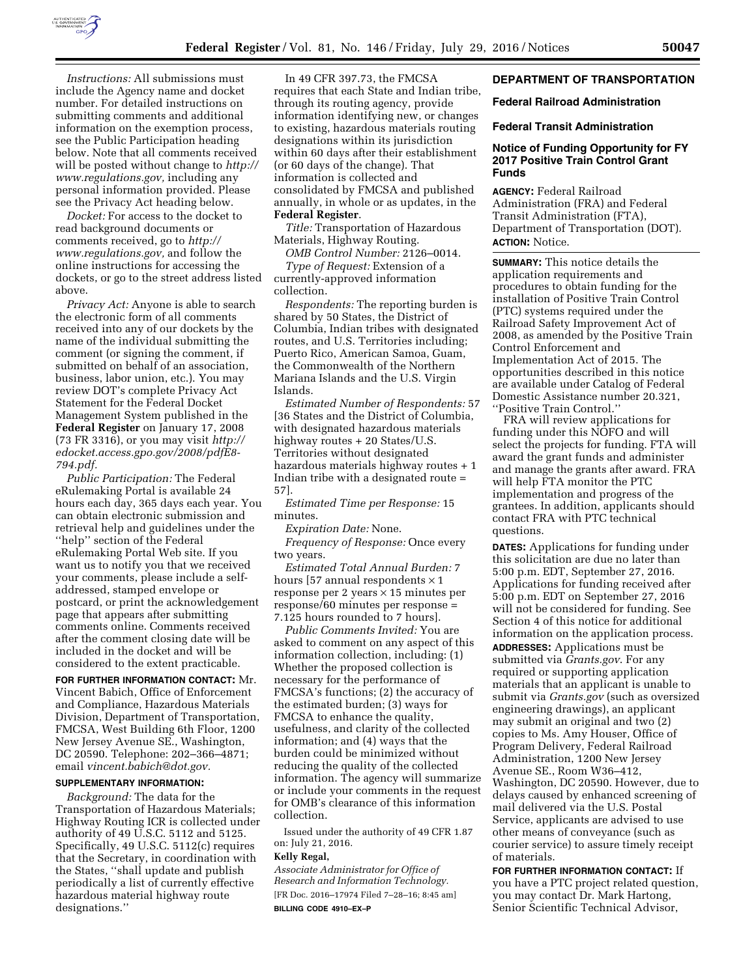

*Instructions:* All submissions must include the Agency name and docket number. For detailed instructions on submitting comments and additional information on the exemption process, see the Public Participation heading below. Note that all comments received will be posted without change to *http:// www.regulations.gov,* including any personal information provided. Please see the Privacy Act heading below.

*Docket:* For access to the docket to read background documents or comments received, go to *http:// www.regulations.gov,* and follow the online instructions for accessing the dockets, or go to the street address listed above.

*Privacy Act:* Anyone is able to search the electronic form of all comments received into any of our dockets by the name of the individual submitting the comment (or signing the comment, if submitted on behalf of an association, business, labor union, etc.). You may review DOT's complete Privacy Act Statement for the Federal Docket Management System published in the **Federal Register** on January 17, 2008 (73 FR 3316), or you may visit *http:// edocket.access.gpo.gov/2008/pdfE8- 794.pdf.* 

*Public Participation:* The Federal eRulemaking Portal is available 24 hours each day, 365 days each year. You can obtain electronic submission and retrieval help and guidelines under the ''help'' section of the Federal eRulemaking Portal Web site. If you want us to notify you that we received your comments, please include a selfaddressed, stamped envelope or postcard, or print the acknowledgement page that appears after submitting comments online. Comments received after the comment closing date will be included in the docket and will be considered to the extent practicable.

**FOR FURTHER INFORMATION CONTACT:** Mr. Vincent Babich, Office of Enforcement and Compliance, Hazardous Materials Division, Department of Transportation, FMCSA, West Building 6th Floor, 1200 New Jersey Avenue SE., Washington, DC 20590. Telephone: 202–366–4871; email *vincent.babich@dot.gov.* 

### **SUPPLEMENTARY INFORMATION:**

*Background:* The data for the Transportation of Hazardous Materials; Highway Routing ICR is collected under authority of 49 U.S.C. 5112 and 5125. Specifically, 49 U.S.C. 5112(c) requires that the Secretary, in coordination with the States, ''shall update and publish periodically a list of currently effective hazardous material highway route designations.''

In 49 CFR 397.73, the FMCSA requires that each State and Indian tribe, through its routing agency, provide information identifying new, or changes to existing, hazardous materials routing designations within its jurisdiction within 60 days after their establishment (or 60 days of the change). That information is collected and consolidated by FMCSA and published annually, in whole or as updates, in the **Federal Register**.

*Title:* Transportation of Hazardous Materials, Highway Routing.

*OMB Control Number:* 2126–0014. *Type of Request:* Extension of a

currently-approved information collection.

*Respondents:* The reporting burden is shared by 50 States, the District of Columbia, Indian tribes with designated routes, and U.S. Territories including; Puerto Rico, American Samoa, Guam, the Commonwealth of the Northern Mariana Islands and the U.S. Virgin Islands.

*Estimated Number of Respondents:* 57 [36 States and the District of Columbia, with designated hazardous materials highway routes + 20 States/U.S. Territories without designated hazardous materials highway routes + 1 Indian tribe with a designated route = 57].

*Estimated Time per Response:* 15 minutes.

*Expiration Date:* None.

*Frequency of Response:* Once every two years.

*Estimated Total Annual Burden:* 7 hours [57 annual respondents  $\times$  1 response per 2 years  $\times$  15 minutes per response/60 minutes per response = 7.125 hours rounded to 7 hours].

*Public Comments Invited:* You are asked to comment on any aspect of this information collection, including: (1) Whether the proposed collection is necessary for the performance of FMCSA's functions; (2) the accuracy of the estimated burden; (3) ways for FMCSA to enhance the quality, usefulness, and clarity of the collected information; and (4) ways that the burden could be minimized without reducing the quality of the collected information. The agency will summarize or include your comments in the request for OMB's clearance of this information collection.

Issued under the authority of 49 CFR 1.87 on: July 21, 2016.

### **Kelly Regal,**

*Associate Administrator for Office of Research and Information Technology.*  [FR Doc. 2016–17974 Filed 7–28–16; 8:45 am] **BILLING CODE 4910–EX–P** 

# **DEPARTMENT OF TRANSPORTATION**

# **Federal Railroad Administration**

#### **Federal Transit Administration**

# **Notice of Funding Opportunity for FY 2017 Positive Train Control Grant Funds**

**AGENCY:** Federal Railroad Administration (FRA) and Federal Transit Administration (FTA), Department of Transportation (DOT). **ACTION:** Notice.

**SUMMARY:** This notice details the application requirements and procedures to obtain funding for the installation of Positive Train Control (PTC) systems required under the Railroad Safety Improvement Act of 2008, as amended by the Positive Train Control Enforcement and Implementation Act of 2015. The opportunities described in this notice are available under Catalog of Federal Domestic Assistance number 20.321, ''Positive Train Control.''

FRA will review applications for funding under this NOFO and will select the projects for funding. FTA will award the grant funds and administer and manage the grants after award. FRA will help FTA monitor the PTC implementation and progress of the grantees. In addition, applicants should contact FRA with PTC technical questions.

**DATES:** Applications for funding under this solicitation are due no later than 5:00 p.m. EDT, September 27, 2016. Applications for funding received after 5:00 p.m. EDT on September 27, 2016 will not be considered for funding. See Section 4 of this notice for additional information on the application process.

**ADDRESSES:** Applications must be submitted via *Grants.gov*. For any required or supporting application materials that an applicant is unable to submit via *Grants.gov* (such as oversized engineering drawings), an applicant may submit an original and two (2) copies to Ms. Amy Houser, Office of Program Delivery, Federal Railroad Administration, 1200 New Jersey Avenue SE., Room W36–412, Washington, DC 20590. However, due to delays caused by enhanced screening of mail delivered via the U.S. Postal Service, applicants are advised to use other means of conveyance (such as courier service) to assure timely receipt of materials.

**FOR FURTHER INFORMATION CONTACT:** If you have a PTC project related question, you may contact Dr. Mark Hartong, Senior Scientific Technical Advisor,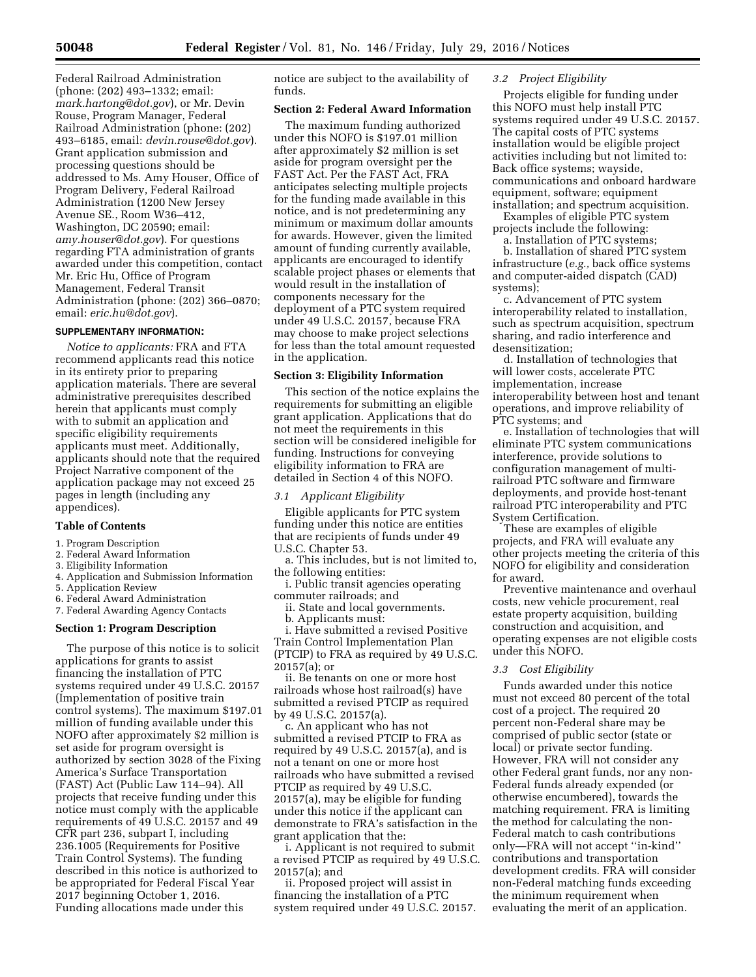Federal Railroad Administration (phone: (202) 493–1332; email: *mark.hartong@dot.gov*), or Mr. Devin Rouse, Program Manager, Federal Railroad Administration (phone: (202) 493–6185, email: *devin.rouse@dot.gov*). Grant application submission and processing questions should be addressed to Ms. Amy Houser, Office of Program Delivery, Federal Railroad Administration (1200 New Jersey Avenue SE., Room W36–412, Washington, DC 20590; email: *amy.houser@dot.gov*). For questions regarding FTA administration of grants awarded under this competition, contact Mr. Eric Hu, Office of Program Management, Federal Transit Administration (phone: (202) 366–0870; email: *eric.hu@dot.gov*).

#### **SUPPLEMENTARY INFORMATION:**

*Notice to applicants:* FRA and FTA recommend applicants read this notice in its entirety prior to preparing application materials. There are several administrative prerequisites described herein that applicants must comply with to submit an application and specific eligibility requirements applicants must meet. Additionally, applicants should note that the required Project Narrative component of the application package may not exceed 25 pages in length (including any appendices).

# **Table of Contents**

- 1. Program Description
- 2. Federal Award Information
- 3. Eligibility Information
- 4. Application and Submission Information
- 5. Application Review
- 6. Federal Award Administration
- 7. Federal Awarding Agency Contacts

#### **Section 1: Program Description**

The purpose of this notice is to solicit applications for grants to assist financing the installation of PTC systems required under 49 U.S.C. 20157 (Implementation of positive train control systems). The maximum \$197.01 million of funding available under this NOFO after approximately \$2 million is set aside for program oversight is authorized by section 3028 of the Fixing America's Surface Transportation (FAST) Act (Public Law 114–94). All projects that receive funding under this notice must comply with the applicable requirements of 49 U.S.C. 20157 and 49 CFR part 236, subpart I, including 236.1005 (Requirements for Positive Train Control Systems). The funding described in this notice is authorized to be appropriated for Federal Fiscal Year 2017 beginning October 1, 2016. Funding allocations made under this

notice are subject to the availability of funds.

# **Section 2: Federal Award Information**

The maximum funding authorized under this NOFO is \$197.01 million after approximately \$2 million is set aside for program oversight per the FAST Act. Per the FAST Act, FRA anticipates selecting multiple projects for the funding made available in this notice, and is not predetermining any minimum or maximum dollar amounts for awards. However, given the limited amount of funding currently available, applicants are encouraged to identify scalable project phases or elements that would result in the installation of components necessary for the deployment of a PTC system required under 49 U.S.C. 20157, because FRA may choose to make project selections for less than the total amount requested in the application.

## **Section 3: Eligibility Information**

This section of the notice explains the requirements for submitting an eligible grant application. Applications that do not meet the requirements in this section will be considered ineligible for funding. Instructions for conveying eligibility information to FRA are detailed in Section 4 of this NOFO.

#### *3.1 Applicant Eligibility*

Eligible applicants for PTC system funding under this notice are entities that are recipients of funds under 49 U.S.C. Chapter 53.

a. This includes, but is not limited to, the following entities:

i. Public transit agencies operating commuter railroads; and

- ii. State and local governments.
- b. Applicants must:

i. Have submitted a revised Positive Train Control Implementation Plan (PTCIP) to FRA as required by 49 U.S.C. 20157(a); or

ii. Be tenants on one or more host railroads whose host railroad(s) have submitted a revised PTCIP as required by 49 U.S.C. 20157(a).

c. An applicant who has not submitted a revised PTCIP to FRA as required by 49 U.S.C. 20157(a), and is not a tenant on one or more host railroads who have submitted a revised PTCIP as required by 49 U.S.C. 20157(a), may be eligible for funding under this notice if the applicant can demonstrate to FRA's satisfaction in the grant application that the:

i. Applicant is not required to submit a revised PTCIP as required by 49 U.S.C. 20157(a); and

ii. Proposed project will assist in financing the installation of a PTC system required under 49 U.S.C. 20157.

# *3.2 Project Eligibility*

Projects eligible for funding under this NOFO must help install PTC systems required under 49 U.S.C. 20157. The capital costs of PTC systems installation would be eligible project activities including but not limited to: Back office systems; wayside, communications and onboard hardware equipment, software; equipment installation; and spectrum acquisition.

Examples of eligible PTC system projects include the following:

a. Installation of PTC systems;

b. Installation of shared PTC system infrastructure (*e.g.,* back office systems and computer-aided dispatch (CAD) systems);

c. Advancement of PTC system interoperability related to installation, such as spectrum acquisition, spectrum sharing, and radio interference and desensitization;

d. Installation of technologies that will lower costs, accelerate PTC implementation, increase interoperability between host and tenant operations, and improve reliability of PTC systems; and

e. Installation of technologies that will eliminate PTC system communications interference, provide solutions to configuration management of multirailroad PTC software and firmware deployments, and provide host-tenant railroad PTC interoperability and PTC System Certification.

These are examples of eligible projects, and FRA will evaluate any other projects meeting the criteria of this NOFO for eligibility and consideration for award.

Preventive maintenance and overhaul costs, new vehicle procurement, real estate property acquisition, building construction and acquisition, and operating expenses are not eligible costs under this NOFO.

### *3.3 Cost Eligibility*

Funds awarded under this notice must not exceed 80 percent of the total cost of a project. The required 20 percent non-Federal share may be comprised of public sector (state or local) or private sector funding. However, FRA will not consider any other Federal grant funds, nor any non-Federal funds already expended (or otherwise encumbered), towards the matching requirement. FRA is limiting the method for calculating the non-Federal match to cash contributions only—FRA will not accept ''in-kind'' contributions and transportation development credits. FRA will consider non-Federal matching funds exceeding the minimum requirement when evaluating the merit of an application.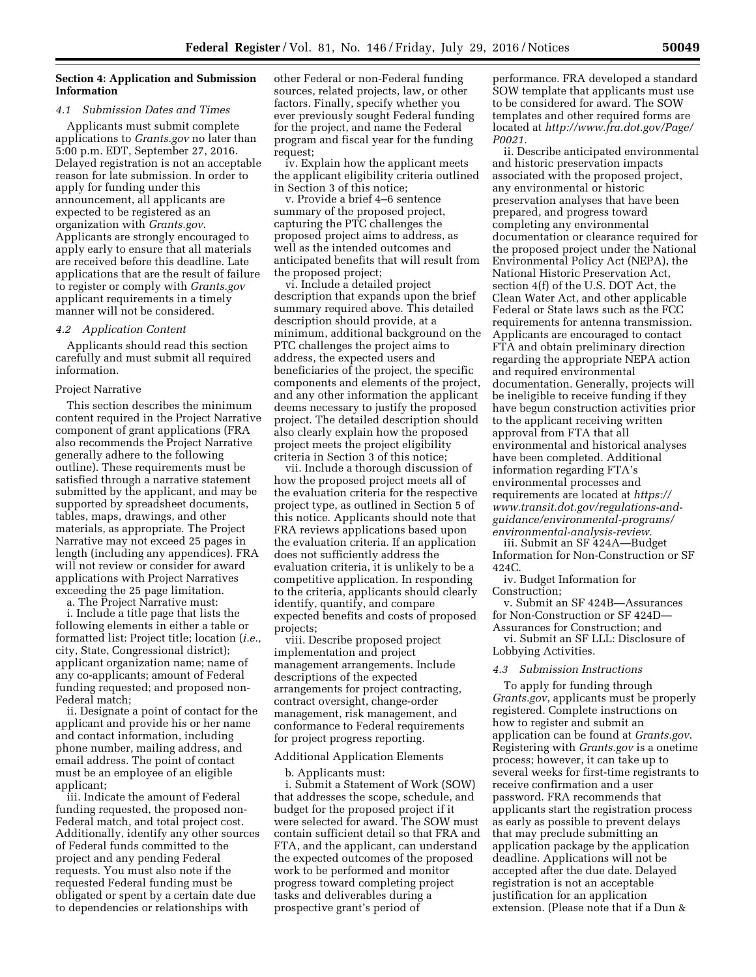# **Section 4: Application and Submission Information**

### *4.1 Submission Dates and Times*

Applicants must submit complete applications to *Grants.gov* no later than 5:00 p.m. EDT, September 27, 2016. Delayed registration is not an acceptable reason for late submission. In order to apply for funding under this announcement, all applicants are expected to be registered as an organization with *Grants.gov*. Applicants are strongly encouraged to apply early to ensure that all materials are received before this deadline. Late applications that are the result of failure to register or comply with *Grants.gov*  applicant requirements in a timely manner will not be considered.

#### *4.2 Application Content*

Applicants should read this section carefully and must submit all required information.

#### Project Narrative

This section describes the minimum content required in the Project Narrative component of grant applications (FRA also recommends the Project Narrative generally adhere to the following outline). These requirements must be satisfied through a narrative statement submitted by the applicant, and may be supported by spreadsheet documents, tables, maps, drawings, and other materials, as appropriate. The Project Narrative may not exceed 25 pages in length (including any appendices). FRA will not review or consider for award applications with Project Narratives exceeding the 25 page limitation.

a. The Project Narrative must:

i. Include a title page that lists the following elements in either a table or formatted list: Project title; location (*i.e.,*  city, State, Congressional district); applicant organization name; name of any co-applicants; amount of Federal funding requested; and proposed non-Federal match;

ii. Designate a point of contact for the applicant and provide his or her name and contact information, including phone number, mailing address, and email address. The point of contact must be an employee of an eligible applicant;

iii. Indicate the amount of Federal funding requested, the proposed non-Federal match, and total project cost. Additionally, identify any other sources of Federal funds committed to the project and any pending Federal requests. You must also note if the requested Federal funding must be obligated or spent by a certain date due to dependencies or relationships with

other Federal or non-Federal funding sources, related projects, law, or other factors. Finally, specify whether you ever previously sought Federal funding for the project, and name the Federal program and fiscal year for the funding request;

iv. Explain how the applicant meets the applicant eligibility criteria outlined in Section 3 of this notice;

v. Provide a brief 4–6 sentence summary of the proposed project, capturing the PTC challenges the proposed project aims to address, as well as the intended outcomes and anticipated benefits that will result from the proposed project;

vi. Include a detailed project description that expands upon the brief summary required above. This detailed description should provide, at a minimum, additional background on the PTC challenges the project aims to address, the expected users and beneficiaries of the project, the specific components and elements of the project, and any other information the applicant deems necessary to justify the proposed project. The detailed description should also clearly explain how the proposed project meets the project eligibility criteria in Section 3 of this notice;

vii. Include a thorough discussion of how the proposed project meets all of the evaluation criteria for the respective project type, as outlined in Section 5 of this notice. Applicants should note that FRA reviews applications based upon the evaluation criteria. If an application does not sufficiently address the evaluation criteria, it is unlikely to be a competitive application. In responding to the criteria, applicants should clearly identify, quantify, and compare expected benefits and costs of proposed projects;

viii. Describe proposed project implementation and project management arrangements. Include descriptions of the expected arrangements for project contracting, contract oversight, change-order management, risk management, and conformance to Federal requirements for project progress reporting.

#### Additional Application Elements

b. Applicants must:

i. Submit a Statement of Work (SOW) that addresses the scope, schedule, and budget for the proposed project if it were selected for award. The SOW must contain sufficient detail so that FRA and FTA, and the applicant, can understand the expected outcomes of the proposed work to be performed and monitor progress toward completing project tasks and deliverables during a prospective grant's period of

performance. FRA developed a standard SOW template that applicants must use to be considered for award. The SOW templates and other required forms are located at *http://www.fra.dot.gov/Page/ P0021.* 

ii. Describe anticipated environmental and historic preservation impacts associated with the proposed project, any environmental or historic preservation analyses that have been prepared, and progress toward completing any environmental documentation or clearance required for the proposed project under the National Environmental Policy Act (NEPA), the National Historic Preservation Act, section 4(f) of the U.S. DOT Act, the Clean Water Act, and other applicable Federal or State laws such as the FCC requirements for antenna transmission. Applicants are encouraged to contact FTA and obtain preliminary direction regarding the appropriate NEPA action and required environmental documentation. Generally, projects will be ineligible to receive funding if they have begun construction activities prior to the applicant receiving written approval from FTA that all environmental and historical analyses have been completed. Additional information regarding FTA's environmental processes and requirements are located at *https:// www.transit.dot.gov/regulations-andguidance/environmental-programs/ environmental-analysis-review.* 

iii. Submit an SF 424A—Budget Information for Non-Construction or SF 424C.

iv. Budget Information for Construction;

v. Submit an SF 424B—Assurances for Non-Construction or SF 424D— Assurances for Construction; and

vi. Submit an SF LLL: Disclosure of Lobbying Activities.

#### *4.3 Submission Instructions*

To apply for funding through *Grants.gov*, applicants must be properly registered. Complete instructions on how to register and submit an application can be found at *Grants.gov*. Registering with *Grants.gov* is a onetime process; however, it can take up to several weeks for first-time registrants to receive confirmation and a user password. FRA recommends that applicants start the registration process as early as possible to prevent delays that may preclude submitting an application package by the application deadline. Applications will not be accepted after the due date. Delayed registration is not an acceptable justification for an application extension. (Please note that if a Dun &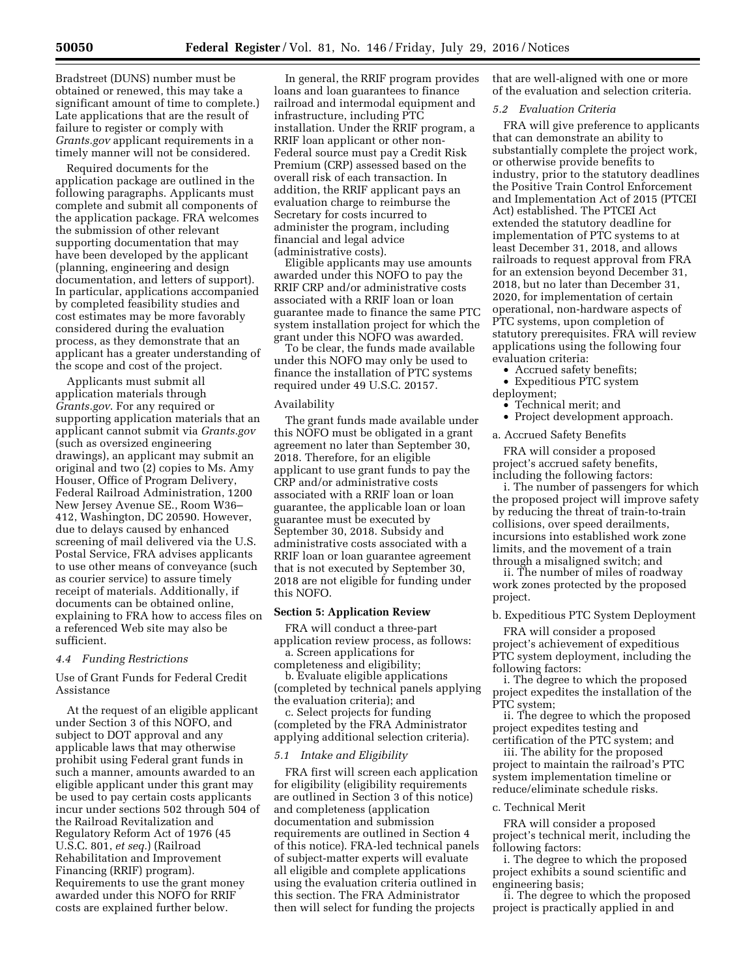Bradstreet (DUNS) number must be obtained or renewed, this may take a significant amount of time to complete.) Late applications that are the result of failure to register or comply with *Grants.gov* applicant requirements in a timely manner will not be considered.

Required documents for the application package are outlined in the following paragraphs. Applicants must complete and submit all components of the application package. FRA welcomes the submission of other relevant supporting documentation that may have been developed by the applicant (planning, engineering and design documentation, and letters of support). In particular, applications accompanied by completed feasibility studies and cost estimates may be more favorably considered during the evaluation process, as they demonstrate that an applicant has a greater understanding of the scope and cost of the project.

Applicants must submit all application materials through *Grants.gov*. For any required or supporting application materials that an applicant cannot submit via *Grants.gov*  (such as oversized engineering drawings), an applicant may submit an original and two (2) copies to Ms. Amy Houser, Office of Program Delivery, Federal Railroad Administration, 1200 New Jersey Avenue SE., Room W36– 412, Washington, DC 20590. However, due to delays caused by enhanced screening of mail delivered via the U.S. Postal Service, FRA advises applicants to use other means of conveyance (such as courier service) to assure timely receipt of materials. Additionally, if documents can be obtained online, explaining to FRA how to access files on a referenced Web site may also be sufficient.

### *4.4 Funding Restrictions*

Use of Grant Funds for Federal Credit Assistance

At the request of an eligible applicant under Section 3 of this NOFO, and subject to DOT approval and any applicable laws that may otherwise prohibit using Federal grant funds in such a manner, amounts awarded to an eligible applicant under this grant may be used to pay certain costs applicants incur under sections 502 through 504 of the Railroad Revitalization and Regulatory Reform Act of 1976 (45 U.S.C. 801, *et seq.*) (Railroad Rehabilitation and Improvement Financing (RRIF) program). Requirements to use the grant money awarded under this NOFO for RRIF costs are explained further below.

In general, the RRIF program provides loans and loan guarantees to finance railroad and intermodal equipment and infrastructure, including PTC installation. Under the RRIF program, a RRIF loan applicant or other non-Federal source must pay a Credit Risk Premium (CRP) assessed based on the overall risk of each transaction. In addition, the RRIF applicant pays an evaluation charge to reimburse the Secretary for costs incurred to administer the program, including financial and legal advice (administrative costs).

Eligible applicants may use amounts awarded under this NOFO to pay the RRIF CRP and/or administrative costs associated with a RRIF loan or loan guarantee made to finance the same PTC system installation project for which the grant under this NOFO was awarded.

To be clear, the funds made available under this NOFO may only be used to finance the installation of PTC systems required under 49 U.S.C. 20157.

## Availability

The grant funds made available under this NOFO must be obligated in a grant agreement no later than September 30, 2018. Therefore, for an eligible applicant to use grant funds to pay the CRP and/or administrative costs associated with a RRIF loan or loan guarantee, the applicable loan or loan guarantee must be executed by September 30, 2018. Subsidy and administrative costs associated with a RRIF loan or loan guarantee agreement that is not executed by September 30, 2018 are not eligible for funding under this NOFO.

### **Section 5: Application Review**

FRA will conduct a three-part application review process, as follows: a. Screen applications for

completeness and eligibility;

b. Evaluate eligible applications (completed by technical panels applying the evaluation criteria); and

c. Select projects for funding (completed by the FRA Administrator applying additional selection criteria).

### *5.1 Intake and Eligibility*

FRA first will screen each application for eligibility (eligibility requirements are outlined in Section 3 of this notice) and completeness (application documentation and submission requirements are outlined in Section 4 of this notice). FRA-led technical panels of subject-matter experts will evaluate all eligible and complete applications using the evaluation criteria outlined in this section. The FRA Administrator then will select for funding the projects

that are well-aligned with one or more of the evaluation and selection criteria.

### *5.2 Evaluation Criteria*

FRA will give preference to applicants that can demonstrate an ability to substantially complete the project work, or otherwise provide benefits to industry, prior to the statutory deadlines the Positive Train Control Enforcement and Implementation Act of 2015 (PTCEI Act) established. The PTCEI Act extended the statutory deadline for implementation of PTC systems to at least December 31, 2018, and allows railroads to request approval from FRA for an extension beyond December 31, 2018, but no later than December 31, 2020, for implementation of certain operational, non-hardware aspects of PTC systems, upon completion of statutory prerequisites. FRA will review applications using the following four evaluation criteria:

- Accrued safety benefits;
- Expeditious PTC system

deployment;

- Technical merit; and
- Project development approach.

a. Accrued Safety Benefits

FRA will consider a proposed project's accrued safety benefits, including the following factors:

i. The number of passengers for which the proposed project will improve safety by reducing the threat of train-to-train collisions, over speed derailments, incursions into established work zone limits, and the movement of a train through a misaligned switch; and

ii. The number of miles of roadway work zones protected by the proposed project.

# b. Expeditious PTC System Deployment

FRA will consider a proposed project's achievement of expeditious PTC system deployment, including the following factors:

i. The degree to which the proposed project expedites the installation of the PTC system;

ii. The degree to which the proposed project expedites testing and certification of the PTC system; and

iii. The ability for the proposed project to maintain the railroad's PTC system implementation timeline or reduce/eliminate schedule risks.

## c. Technical Merit

FRA will consider a proposed project's technical merit, including the following factors:

i. The degree to which the proposed project exhibits a sound scientific and engineering basis;

ii. The degree to which the proposed project is practically applied in and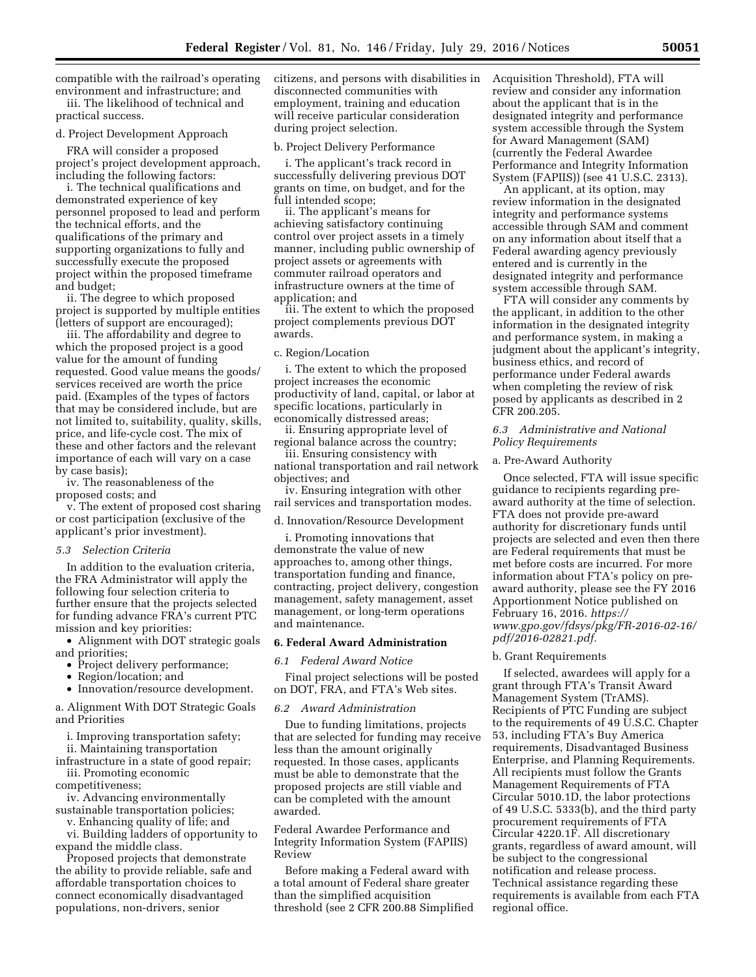compatible with the railroad's operating environment and infrastructure; and iii. The likelihood of technical and

practical success.

## d. Project Development Approach

FRA will consider a proposed project's project development approach, including the following factors:

i. The technical qualifications and demonstrated experience of key personnel proposed to lead and perform the technical efforts, and the qualifications of the primary and supporting organizations to fully and successfully execute the proposed project within the proposed timeframe and budget;

ii. The degree to which proposed project is supported by multiple entities (letters of support are encouraged);

iii. The affordability and degree to which the proposed project is a good value for the amount of funding requested. Good value means the goods/ services received are worth the price paid. (Examples of the types of factors that may be considered include, but are not limited to, suitability, quality, skills, price, and life-cycle cost. The mix of these and other factors and the relevant importance of each will vary on a case by case basis);

iv. The reasonableness of the proposed costs; and

v. The extent of proposed cost sharing or cost participation (exclusive of the applicant's prior investment).

### *5.3 Selection Criteria*

In addition to the evaluation criteria, the FRA Administrator will apply the following four selection criteria to further ensure that the projects selected for funding advance FRA's current PTC mission and key priorities:

• Alignment with DOT strategic goals and priorities;

- Project delivery performance;
- Region/location; and
- Innovation/resource development.

a. Alignment With DOT Strategic Goals and Priorities

i. Improving transportation safety;

ii. Maintaining transportation infrastructure in a state of good repair;

iii. Promoting economic competitiveness;

iv. Advancing environmentally sustainable transportation policies;

v. Enhancing quality of life; and

vi. Building ladders of opportunity to expand the middle class.

Proposed projects that demonstrate the ability to provide reliable, safe and affordable transportation choices to connect economically disadvantaged populations, non-drivers, senior

citizens, and persons with disabilities in disconnected communities with employment, training and education will receive particular consideration during project selection.

# b. Project Delivery Performance

i. The applicant's track record in successfully delivering previous DOT grants on time, on budget, and for the full intended scope;

ii. The applicant's means for achieving satisfactory continuing control over project assets in a timely manner, including public ownership of project assets or agreements with commuter railroad operators and infrastructure owners at the time of application; and

iii. The extent to which the proposed project complements previous DOT awards.

#### c. Region/Location

i. The extent to which the proposed project increases the economic productivity of land, capital, or labor at specific locations, particularly in economically distressed areas;

ii. Ensuring appropriate level of regional balance across the country;

iii. Ensuring consistency with national transportation and rail network objectives; and

iv. Ensuring integration with other rail services and transportation modes.

d. Innovation/Resource Development

i. Promoting innovations that demonstrate the value of new approaches to, among other things, transportation funding and finance, contracting, project delivery, congestion management, safety management, asset management, or long-term operations and maintenance.

### **6. Federal Award Administration**

*6.1 Federal Award Notice* 

Final project selections will be posted on DOT, FRA, and FTA's Web sites.

#### *6.2 Award Administration*

Due to funding limitations, projects that are selected for funding may receive less than the amount originally requested. In those cases, applicants must be able to demonstrate that the proposed projects are still viable and can be completed with the amount awarded.

Federal Awardee Performance and Integrity Information System (FAPIIS) Review

Before making a Federal award with a total amount of Federal share greater than the simplified acquisition threshold (see 2 CFR 200.88 Simplified Acquisition Threshold), FTA will review and consider any information about the applicant that is in the designated integrity and performance system accessible through the System for Award Management (SAM) (currently the Federal Awardee Performance and Integrity Information System (FAPIIS)) (see 41 U.S.C. 2313).

An applicant, at its option, may review information in the designated integrity and performance systems accessible through SAM and comment on any information about itself that a Federal awarding agency previously entered and is currently in the designated integrity and performance system accessible through SAM.

FTA will consider any comments by the applicant, in addition to the other information in the designated integrity and performance system, in making a judgment about the applicant's integrity, business ethics, and record of performance under Federal awards when completing the review of risk posed by applicants as described in 2 CFR 200.205.

## *6.3 Administrative and National Policy Requirements*

#### a. Pre-Award Authority

Once selected, FTA will issue specific guidance to recipients regarding preaward authority at the time of selection. FTA does not provide pre-award authority for discretionary funds until projects are selected and even then there are Federal requirements that must be met before costs are incurred. For more information about FTA's policy on preaward authority, please see the FY 2016 Apportionment Notice published on February 16, 2016. *https:// www.gpo.gov/fdsys/pkg/FR-2016-02-16/ pdf/2016-02821.pdf.* 

### b. Grant Requirements

If selected, awardees will apply for a grant through FTA's Transit Award Management System (TrAMS). Recipients of PTC Funding are subject to the requirements of 49 U.S.C. Chapter 53, including FTA's Buy America requirements, Disadvantaged Business Enterprise, and Planning Requirements. All recipients must follow the Grants Management Requirements of FTA Circular 5010.1D, the labor protections of 49 U.S.C. 5333(b), and the third party procurement requirements of FTA Circular 4220.1F. All discretionary grants, regardless of award amount, will be subject to the congressional notification and release process. Technical assistance regarding these requirements is available from each FTA regional office.